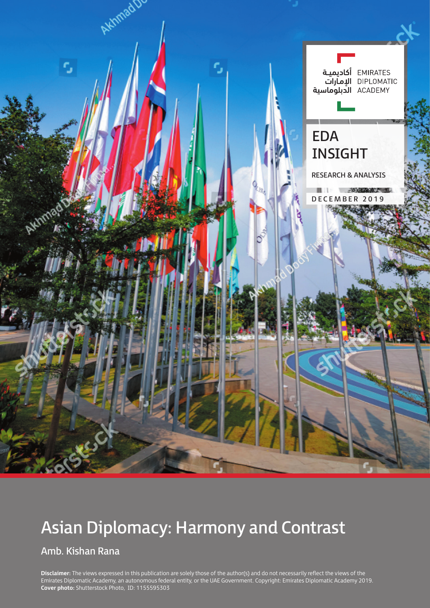

# Asian Diplomacy: Harmony and Contrast

## Amb. Kishan Rana

**Disclaimer:** The views expressed in this publication are solely those of the author(s) and do not necessarily reflect the views of the Emirates Diplomatic Academy, an autonomous federal entity, or the UAE Government. Copyright: Emirates Diplomatic Academy 2019. **Cover photo:** Shutterstock Photo, ID: 1155595303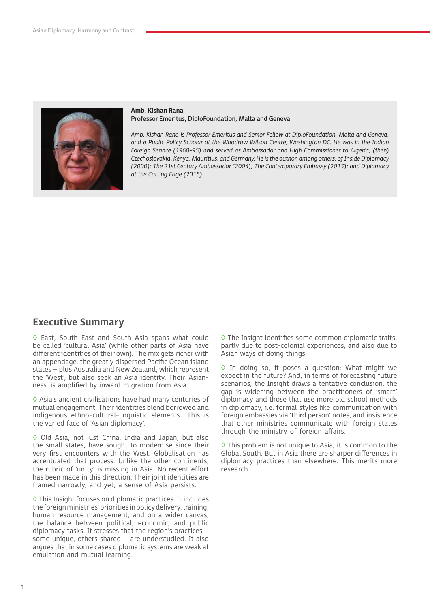

#### **Amb. Kishan Rana** Professor Emeritus, DiploFoundation, Malta and Geneva

*Amb. Kishan Rana is Professor Emeritus and Senior Fellow at DiploFoundation, Malta and Geneva, and a Public Policy Scholar at the Woodrow Wilson Centre, Washington DC. He was in the Indian Foreign Service (1960-95) and served as Ambassador and High Commissioner to Algeria, (then) Czechoslovakia, Kenya, Mauritius, and Germany. He is the author, among others, of Inside Diplomacy (2000); The 21st Century Ambassador (2004); The Contemporary Embassy (2013); and Diplomacy at the Cutting Edge (2015).* 

### **Executive Summary**

◊ East, South East and South Asia spans what could be called 'cultural Asia' (while other parts of Asia have different identities of their own). The mix gets richer with an appendage, the greatly dispersed Pacific Ocean island states – plus Australia and New Zealand, which represent the 'West', but also seek an Asia identity. Their 'Asianness' is amplified by inward migration from Asia.

◊ Asia's ancient civilisations have had many centuries of mutual engagement. Their identities blend borrowed and indigenous ethno-cultural-linguistic elements. This is the varied face of 'Asian diplomacy'.

◊ Old Asia, not just China, India and Japan, but also the small states, have sought to modernise since their very first encounters with the West. Globalisation has accentuated that process. Unlike the other continents, the rubric of 'unity' is missing in Asia. No recent effort has been made in this direction. Their joint identities are framed narrowly, and yet, a sense of Asia persists.

◊ This Insight focuses on diplomatic practices. It includes the foreign ministries' priorities in policy delivery, training, human resource management, and on a wider canvas, the balance between political, economic, and public diplomacy tasks. It stresses that the region's practices – some unique, others shared – are understudied. It also argues that in some cases diplomatic systems are weak at emulation and mutual learning.

◊ The Insight identifies some common diplomatic traits, partly due to post-colonial experiences, and also due to Asian ways of doing things.

◊ In doing so, it poses a question: What might we expect in the future? And, in terms of forecasting future scenarios, the Insight draws a tentative conclusion: the gap is widening between the practitioners of 'smart' diplomacy and those that use more old school methods in diplomacy, i.e. formal styles like communication with foreign embassies via 'third person' notes, and insistence that other ministries communicate with foreign states through the ministry of foreign affairs.

◊ This problem is not unique to Asia; it is common to the Global South. But in Asia there are sharper differences in diplomacy practices than elsewhere. This merits more research.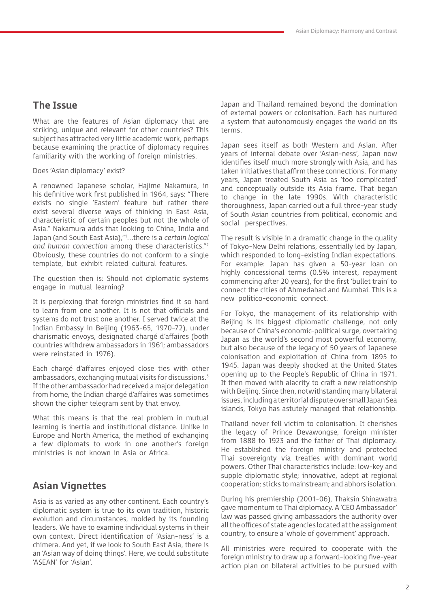## **The Issue**

What are the features of Asian diplomacy that are striking, unique and relevant for other countries? This subject has attracted very little academic work, perhaps because examining the practice of diplomacy requires familiarity with the working of foreign ministries.

Does 'Asian diplomacy' exist?

A renowned Japanese scholar, Hajime Nakamura, in his definitive work first published in 1964, says: "There exists no single 'Eastern' feature but rather there exist several diverse ways of thinking in East Asia, characteristic of certain peoples but not the whole of Asia." Nakamura adds that looking to China, India and Japan (and South East Asia),"1 …there is a *certain logical and human connection* among these characteristics."2 Obviously, these countries do not conform to a single template, but exhibit related cultural features.

The question then is: Should not diplomatic systems engage in mutual learning?

It is perplexing that foreign ministries find it so hard to learn from one another. It is not that officials and systems do not trust one another. I served twice at the Indian Embassy in Beijing (1963-65, 1970-72), under charismatic envoys, designated chargé d'affaires (both countries withdrew ambassadors in 1961; ambassadors were reinstated in 1976).

Each chargé d'affaires enjoyed close ties with other ambassadors, exchanging mutual visits for discussions.<sup>3</sup> If the other ambassador had received a major delegation from home, the Indian chargé d'affaires was sometimes shown the cipher telegram sent by that envoy.

What this means is that the real problem in mutual learning is inertia and institutional distance. Unlike in Europe and North America, the method of exchanging a few diplomats to work in one another's foreign ministries is not known in Asia or Africa.

## **Asian Vignettes**

Asia is as varied as any other continent. Each country's diplomatic system is true to its own tradition, historic evolution and circumstances, molded by its founding leaders. We have to examine individual systems in their own context. Direct identification of 'Asian-ness' is a chimera. And yet, if we look to South East Asia, there is an 'Asian way of doing things'. Here, we could substitute 'ASEAN' for 'Asian'.

Japan and Thailand remained beyond the domination of external powers or colonisation. Each has nurtured a system that autonomously engages the world on its terms.

Japan sees itself as both Western and Asian. After years of internal debate over 'Asian-ness', Japan now identifies itself much more strongly with Asia, and has taken initiatives that affirm these connections. For many years, Japan treated South Asia as 'too complicated' and conceptually outside its Asia frame. That began to change in the late 1990s. With characteristic thoroughness, Japan carried out a full three-year study of South Asian countries from political, economic and social perspectives.

The result is visible in a dramatic change in the quality of Tokyo-New Delhi relations, essentially led by Japan, which responded to long-existing Indian expectations. For example: Japan has given a 50-year loan on highly concessional terms (0.5% interest, repayment commencing after 20 years), for the first 'bullet train' to connect the cities of Ahmedabad and Mumbai. This is a new politico-economic connect.

For Tokyo, the management of its relationship with Beijing is its biggest diplomatic challenge, not only because of China's economic-political surge, overtaking Japan as the world's second most powerful economy, but also because of the legacy of 50 years of Japanese colonisation and exploitation of China from 1895 to 1945. Japan was deeply shocked at the United States opening up to the People's Republic of China in 1971. It then moved with alacrity to craft a new relationship with Beijing. Since then, notwithstanding many bilateral issues, including a territorial dispute over small Japan Sea islands, Tokyo has astutely managed that relationship.

Thailand never fell victim to colonisation. It cherishes the legacy of Prince Devawongse, foreign minister from 1888 to 1923 and the father of Thai diplomacy. He established the foreign ministry and protected Thai sovereignty via treaties with dominant world powers. Other Thai characteristics include: low-key and supple diplomatic style; innovative, adept at regional cooperation; sticks to mainstream; and abhors isolation.

During his premiership (2001-06), Thaksin Shinawatra gave momentum to Thai diplomacy. A 'CEO Ambassador' law was passed giving ambassadors the authority over all the offices of state agencies located at the assignment country, to ensure a 'whole of government' approach.

All ministries were required to cooperate with the foreign ministry to draw up a forward-looking five-year action plan on bilateral activities to be pursued with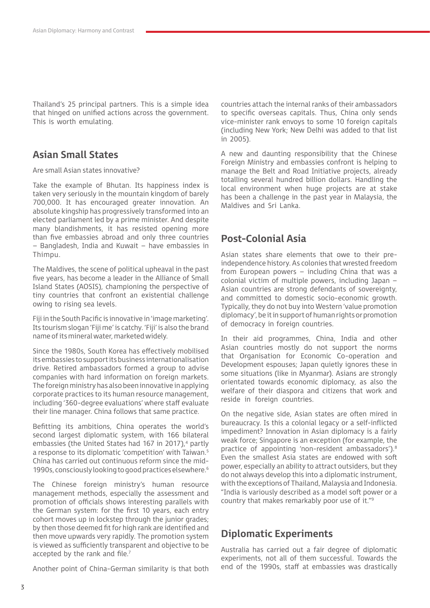Thailand's 25 principal partners. This is a simple idea that hinged on unified actions across the government. This is worth emulating.

## **Asian Small States**

Are small Asian states innovative?

Take the example of Bhutan. Its happiness index is taken very seriously in the mountain kingdom of barely 700,000. It has encouraged greater innovation. An absolute kingship has progressively transformed into an elected parliament led by a prime minister. And despite many blandishments, it has resisted opening more than five embassies abroad and only three countries – Bangladesh, India and Kuwait – have embassies in Thimpu.

The Maldives, the scene of political upheaval in the past five years, has become a leader in the Alliance of Small Island States (AOSIS), championing the perspective of tiny countries that confront an existential challenge owing to rising sea levels.

Fiji in the South Pacific is innovative in 'image marketing'. Its tourism slogan 'Fiji me' is catchy. 'Fiji' is also the brand name of its mineral water, marketed widely.

Since the 1980s, South Korea has effectively mobilised its embassies to support its business internationalisation drive. Retired ambassadors formed a group to advise companies with hard information on foreign markets. The foreign ministry has also been innovative in applying corporate practices to its human resource management, including '360-degree evaluations' where staff evaluate their line manager. China follows that same practice.

Befitting its ambitions, China operates the world's second largest diplomatic system, with 166 bilateral embassies (the United States had 167 in 2017).<sup>4</sup> partly a response to its diplomatic 'competition' with Taiwan.<sup>5</sup> China has carried out continuous reform since the mid-1990s, consciously looking to good practices elsewhere.6

The Chinese foreign ministry's human resource management methods, especially the assessment and promotion of officials shows interesting parallels with the German system: for the first 10 years, each entry cohort moves up in lockstep through the junior grades; by then those deemed fit for high rank are identified and then move upwards very rapidly. The promotion system is viewed as sufficiently transparent and objective to be accepted by the rank and file.<sup>7</sup>

Another point of China-German similarity is that both

countries attach the internal ranks of their ambassadors to specific overseas capitals. Thus, China only sends vice-minister rank envoys to some 10 foreign capitals (including New York; New Delhi was added to that list in 2005).

A new and daunting responsibility that the Chinese Foreign Ministry and embassies confront is helping to manage the Belt and Road Initiative projects, already totalling several hundred billion dollars. Handling the local environment when huge projects are at stake has been a challenge in the past year in Malaysia, the Maldives and Sri Lanka.

## **Post-Colonial Asia**

Asian states share elements that owe to their preindependence history. As colonies that wrested freedom from European powers – including China that was a colonial victim of multiple powers, including Japan – Asian countries are strong defendants of sovereignty, and committed to domestic socio-economic growth. Typically, they do not buy into Western 'value promotion diplomacy', be it in support of human rights or promotion of democracy in foreign countries.

In their aid programmes, China, India and other Asian countries mostly do not support the norms that Organisation for Economic Co-operation and Development espouses; Japan quietly ignores these in some situations (like in Myanmar). Asians are strongly orientated towards economic diplomacy, as also the welfare of their diaspora and citizens that work and reside in foreign countries.

On the negative side, Asian states are often mired in bureaucracy. Is this a colonial legacy or a self-inflicted impediment? Innovation in Asian diplomacy is a fairly weak force; Singapore is an exception (for example, the practice of appointing 'non-resident ambassadors').8 Even the smallest Asia states are endowed with soft power, especially an ability to attract outsiders, but they do not always develop this into a diplomatic instrument, with the exceptions of Thailand, Malaysia and Indonesia. "India is variously described as a model soft power or a country that makes remarkably poor use of it."9

## **Diplomatic Experiments**

Australia has carried out a fair degree of diplomatic experiments, not all of them successful. Towards the end of the 1990s, staff at embassies was drastically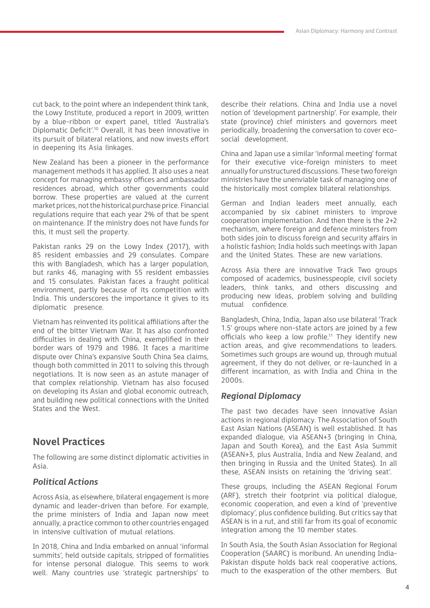cut back, to the point where an independent think tank, the Lowy Institute, produced a report in 2009, written by a blue-ribbon or expert panel, titled 'Australia's Diplomatic Deficit'.10 Overall, it has been innovative in its pursuit of bilateral relations, and now invests effort in deepening its Asia linkages.

New Zealand has been a pioneer in the performance management methods it has applied. It also uses a neat concept for managing embassy offices and ambassador residences abroad, which other governments could borrow. These properties are valued at the current market prices, not the historical purchase price. Financial regulations require that each year 2% of that be spent on maintenance. If the ministry does not have funds for this, it must sell the property.

Pakistan ranks 29 on the Lowy Index (2017), with 85 resident embassies and 29 consulates. Compare this with Bangladesh, which has a larger population, but ranks 46, managing with 55 resident embassies and 15 consulates. Pakistan faces a fraught political environment, partly because of its competition with India. This underscores the importance it gives to its diplomatic presence.

Vietnam has reinvented its political affiliations after the end of the bitter Vietnam War. It has also confronted difficulties in dealing with China, exemplified in their border wars of 1979 and 1986. It faces a maritime dispute over China's expansive South China Sea claims, though both committed in 2011 to solving this through negotiations. It is now seen as an astute manager of that complex relationship. Vietnam has also focused on developing its Asian and global economic outreach, and building new political connections with the United States and the West.

## **Novel Practices**

The following are some distinct diplomatic activities in Asia.

### *Political Actions*

Across Asia, as elsewhere, bilateral engagement is more dynamic and leader-driven than before. For example, the prime ministers of India and Japan now meet annually, a practice common to other countries engaged in intensive cultivation of mutual relations.

In 2018, China and India embarked on annual 'informal summits', held outside capitals, stripped of formalities for intense personal dialogue. This seems to work well. Many countries use 'strategic partnerships' to describe their relations. China and India use a novel notion of 'development partnership'. For example, their state (province) chief ministers and governors meet periodically, broadening the conversation to cover ecosocial development.

China and Japan use a similar 'informal meeting' format for their executive vice-foreign ministers to meet annually for unstructured discussions. These two foreign ministries have the unenviable task of managing one of the historically most complex bilateral relationships.

German and Indian leaders meet annually, each accompanied by six cabinet ministers to improve cooperation implementation. And then there is the 2+2 mechanism, where foreign and defence ministers from both sides join to discuss foreign and security affairs in a holistic fashion; India holds such meetings with Japan and the United States. These are new variations.

Across Asia there are innovative Track Two groups composed of academics, businesspeople, civil society leaders, think tanks, and others discussing and producing new ideas, problem solving and building mutual confidence.

Bangladesh, China, India, Japan also use bilateral 'Track 1.5' groups where non-state actors are joined by a few officials who keep a low profile.<sup>11</sup> They identify new action areas, and give recommendations to leaders. Sometimes such groups are wound up, through mutual agreement, if they do not deliver, or re-launched in a different incarnation, as with India and China in the 2000s.

#### *Regional Diplomacy*

The past two decades have seen innovative Asian actions in regional diplomacy. The Association of South East Asian Nations (ASEAN) is well established. It has expanded dialogue, via ASEAN+3 (bringing in China, Japan and South Korea), and the East Asia Summit (ASEAN+3, plus Australia, India and New Zealand, and then bringing in Russia and the United States). In all these, ASEAN insists on retaining the 'driving seat'.

These groups, including the ASEAN Regional Forum (ARF), stretch their footprint via political dialogue, economic cooperation, and even a kind of 'preventive diplomacy', plus confidence building. But critics say that ASEAN is in a rut, and still far from its goal of economic integration among the 10 member states.

In South Asia, the South Asian Association for Regional Cooperation (SAARC) is moribund. An unending India-Pakistan dispute holds back real cooperative actions, much to the exasperation of the other members. But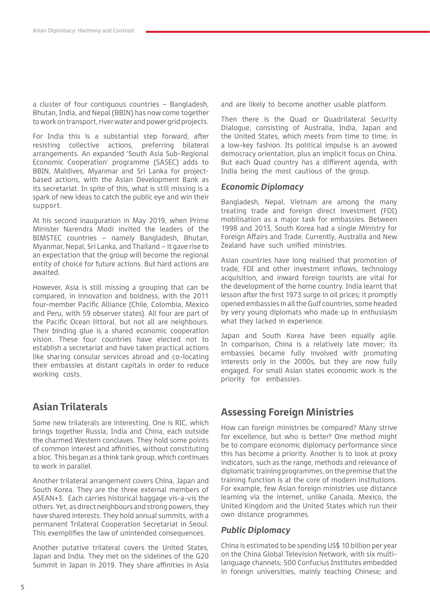a cluster of four contiguous countries – Bangladesh, Bhutan, India, and Nepal (BBIN) has now come together to work on transport, river water and power grid projects.

For India this is a substantial step forward, after resisting collective actions, preferring bilateral arrangements. An expanded 'South Asia Sub-Regional Economic Cooperation' programme (SASEC) adds to BBIN, Maldives, Myanmar and Sri Lanka for projectbased actions, with the Asian Development Bank as its secretariat. In spite of this, what is still missing is a spark of new ideas to catch the public eye and win their support.

At his second inauguration in May 2019, when Prime Minister Narendra Modi invited the leaders of the BIMSTEC countries – namely Bangladesh, Bhutan, Myanmar, Nepal, Sri Lanka, and Thailand – it gave rise to an expectation that the group will become the regional entity of choice for future actions. But hard actions are awaited.

However, Asia is still missing a grouping that can be compared, in innovation and boldness, with the 2011 four-member Pacific Alliance (Chile, Colombia, Mexico and Peru, with 59 observer states). All four are part of the Pacific Ocean littoral, but not all are neighbours. Their binding glue is a shared economic cooperation vision. These four countries have elected not to establish a secretariat and have taken practical actions like sharing consular services abroad and co-locating their embassies at distant capitals in order to reduce working costs.

## **Asian Trilaterals**

Some new trilaterals are interesting. One is RIC, which brings together Russia, India and China, each outside the charmed Western conclaves. They hold some points of common interest and affinities, without constituting a bloc. This began as a think tank group, which continues to work in parallel.

Another trilateral arrangement covers China, Japan and South Korea. They are the three external members of ASEAN+3. Each carries historical baggage vis-a-vis the others. Yet, as direct neighbours and strong powers, they have shared interests. They hold annual summits, with a permanent Trilateral Cooperation Secretariat in Seoul. This exemplifies the law of unintended consequences.

Another putative trilateral covers the United States, Japan and India. They met on the sidelines of the G20 Summit in Japan in 2019. They share affinities in Asia and are likely to become another usable platform.

Then there is the Quad or Quadrilateral Security Dialogue, consisting of Australia, India, Japan and the United States, which meets from time to time, in a low-key fashion. Its political impulse is an avowed democracy orientation, plus an implicit focus on China. But each Quad country has a different agenda, with India being the most cautious of the group.

#### *Economic Diplomacy*

Bangladesh, Nepal, Vietnam are among the many treating trade and foreign direct investment (FDI) mobilisation as a major task for embassies. Between 1998 and 2013, South Korea had a single Ministry for Foreign Affairs and Trade. Currently, Australia and New Zealand have such unified ministries.

Asian countries have long realised that promotion of trade, FDI and other investment inflows, technology acquisition, and inward foreign tourists are vital for the development of the home country. India learnt that lesson after the first 1973 surge in oil prices; it promptly opened embassies in all the Gulf countries, some headed by very young diplomats who made up in enthusiasm what they lacked in experience.

Japan and South Korea have been equally agile. In comparison, China is a relatively late mover; its embassies became fully involved with promoting interests only in the 2000s, but they are now fully engaged. For small Asian states economic work is the priority for embassies.

## **Assessing Foreign Ministries**

How can foreign ministries be compared? Many strive for excellence, but who is better? One method might be to compare economic diplomacy performance since this has become a priority. Another is to look at proxy indicators, such as the range, methods and relevance of diplomatic training programmes, on the premise that the training function is at the core of modern institutions. For example, few Asian foreign ministries use distance learning via the internet, unlike Canada, Mexico, the United Kingdom and the United States which run their own distance programmes.

#### *Public Diplomacy*

China is estimated to be spending US\$ 10 billion per year on the China Global Television Network, with six multilanguage channels; 500 Confucius Institutes embedded in foreign universities, mainly teaching Chinese; and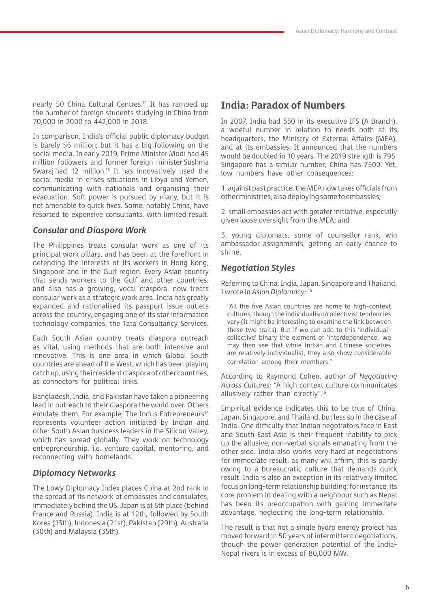nearly 50 China Cultural Centres.<sup>12</sup> It has ramped up the number of foreign students studying in China from 70,000 in 2000 to 442,000 in 2018.

In comparison, India's official public diplomacy budget is barely \$6 million; but it has a big following on the social media. In early 2019, Prime Minister Modi had 45 million followers and former foreign minister Sushma Swaraj had 12 million.<sup>13</sup> It has innovatively used the social media in crises situations in Libya and Yemen, communicating with nationals and organising their evacuation. Soft power is pursued by many, but it is not amenable to quick fixes. Some, notably China, have resorted to expensive consultants, with limited result.

#### *Consular and Diaspora Work*

The Philippines treats consular work as one of its principal work pillars, and has been at the forefront in defending the interests of its workers in Hong Kong, Singapore and in the Gulf region. Every Asian country that sends workers to the Gulf and other countries, and also has a growing, vocal diaspora, now treats consular work as a strategic work area. India has greatly expanded and rationalised its passport issue outlets across the country, engaging one of its star information technology companies, the Tata Consultancy Services.

Each South Asian country treats diaspora outreach as vital, using methods that are both intensive and innovative. This is one area in which Global South countries are ahead of the West, which has been playing catch up, using their resident diaspora of other countries, as connectors for political links.

Bangladesh, India, and Pakistan have taken a pioneering lead in outreach to their diaspora the world over. Others emulate them. For example, The Indus Entrepreneurs<sup>14</sup> represents volunteer action initiated by Indian and other South Asian business leaders in the Silicon Valley, which has spread globally. They work on technology entrepreneurship, i.e. venture capital, mentoring, and reconnecting with homelands.

#### *Diplomacy Networks*

The Lowy Diplomacy Index places China at 2nd rank in the spread of its network of embassies and consulates, immediately behind the US. Japan is at 5th place (behind France and Russia). India is at 12th, followed by South Korea (13th), Indonesia (21st), Pakistan (29th), Australia (30th) and Malaysia (35th).

## **India: Paradox of Numbers**

In 2007, India had 550 in its executive IFS (A Branch), a woeful number in relation to needs both at its headquarters, the Ministry of External Affairs (MEA), and at its embassies. It announced that the numbers would be doubled in 10 years. The 2019 strength is 795. Singapore has a similar number; China has 7500. Yet, low numbers have other consequences:

1. against past practice, the MEA now takes officials from other ministries, also deploying some to embassies;

2. small embassies act with greater initiative, especially given loose oversight from the MEA; and

3. young diplomats, some of counsellor rank, win ambassador assignments, getting an early chance to shine.

#### *Negotiation Styles*

Referring to China, India, Japan, Singapore and Thailand, I wrote in *Asian Diplomacy:* <sup>15</sup>

"All the five Asian countries are home to high-context cultures, though the individualism/collectivist tendencies vary (it might be interesting to examine the link between these two traits). But if we can add to this 'individualcollective' binary the element of 'interdependence', we may then see that while Indian and Chinese societies are relatively individualist, they also show considerable correlation among their members."

According to Raymond Cohen, author of *Negotiating Across Cultures:* "A high context culture communicates allusively rather than directly".16

Empirical evidence indicates this to be true of China, Japan, Singapore, and Thailand, but less so in the case of India. One difficulty that Indian negotiators face in East and South East Asia is their frequent inability to pick up the allusive, non-verbal signals emanating from the other side. India also works very hard at negotiations for immediate result, as many will affirm; this is partly owing to a bureaucratic culture that demands quick result. India is also an exception in its relatively limited focus on long-term relationship building; for instance, its core problem in dealing with a neighbour such as Nepal has been its preoccupation with gaining immediate advantage, neglecting the long-term relationship.

The result is that not a single hydro energy project has moved forward in 50 years of intermittent negotiations, though the power generation potential of the India-Nepal rivers is in excess of 80,000 MW.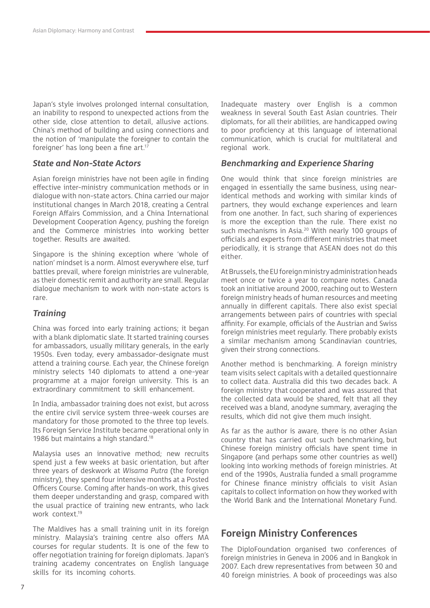Japan's style involves prolonged internal consultation, an inability to respond to unexpected actions from the other side, close attention to detail, allusive actions. China's method of building and using connections and the notion of 'manipulate the foreigner to contain the foreigner' has long been a fine art.<sup>17</sup>

#### *State and Non-State Actors*

Asian foreign ministries have not been agile in finding effective inter-ministry communication methods or in dialogue with non-state actors. China carried our major institutional changes in March 2018, creating a Central Foreign Affairs Commission, and a China International Development Cooperation Agency, pushing the foreign and the Commerce ministries into working better together. Results are awaited.

Singapore is the shining exception where 'whole of nation' mindset is a norm. Almost everywhere else, turf battles prevail, where foreign ministries are vulnerable, as their domestic remit and authority are small. Regular dialogue mechanism to work with non-state actors is rare.

#### *Training*

China was forced into early training actions; it began with a blank diplomatic slate. It started training courses for ambassadors, usually military generals, in the early 1950s. Even today, every ambassador-designate must attend a training course. Each year, the Chinese foreign ministry selects 140 diplomats to attend a one-year programme at a major foreign university. This is an extraordinary commitment to skill enhancement.

In India, ambassador training does not exist, but across the entire civil service system three-week courses are mandatory for those promoted to the three top levels. Its Foreign Service Institute became operational only in 1986 but maintains a high standard.<sup>18</sup>

Malaysia uses an innovative method; new recruits spend just a few weeks at basic orientation, but after three years of deskwork at *Wisama Putra* (the foreign ministry), they spend four intensive months at a Posted Officers Course. Coming after hands-on work, this gives them deeper understanding and grasp, compared with the usual practice of training new entrants, who lack work context.<sup>19</sup>

The Maldives has a small training unit in its foreign ministry. Malaysia's training centre also offers MA courses for regular students. It is one of the few to offer negotiation training for foreign diplomats. Japan's training academy concentrates on English language skills for its incoming cohorts.

Inadequate mastery over English is a common weakness in several South East Asian countries. Their diplomats, for all their abilities, are handicapped owing to poor proficiency at this language of international communication, which is crucial for multilateral and regional work.

#### *Benchmarking and Experience Sharing*

One would think that since foreign ministries are engaged in essentially the same business, using nearidentical methods and working with similar kinds of partners, they would exchange experiences and learn from one another. In fact, such sharing of experiences is more the exception than the rule. There exist no such mechanisms in Asia.20 With nearly 100 groups of officials and experts from different ministries that meet periodically, it is strange that ASEAN does not do this either.

At Brussels, the EU foreign ministry administration heads meet once or twice a year to compare notes. Canada took an initiative around 2000, reaching out to Western foreign ministry heads of human resources and meeting annually in different capitals. There also exist special arrangements between pairs of countries with special affinity. For example, officials of the Austrian and Swiss foreign ministries meet regularly. There probably exists a similar mechanism among Scandinavian countries, given their strong connections.

Another method is benchmarking. A foreign ministry team visits select capitals with a detailed questionnaire to collect data. Australia did this two decades back. A foreign ministry that cooperated and was assured that the collected data would be shared, felt that all they received was a bland, anodyne summary, averaging the results, which did not give them much insight.

As far as the author is aware, there is no other Asian country that has carried out such benchmarking, but Chinese foreign ministry officials have spent time in Singapore (and perhaps some other countries as well) looking into working methods of foreign ministries. At end of the 1990s, Australia funded a small programme for Chinese finance ministry officials to visit Asian capitals to collect information on how they worked with the World Bank and the International Monetary Fund.

### **Foreign Ministry Conferences**

The DiploFoundation organised two conferences of foreign ministries in Geneva in 2006 and in Bangkok in 2007. Each drew representatives from between 30 and 40 foreign ministries. A book of proceedings was also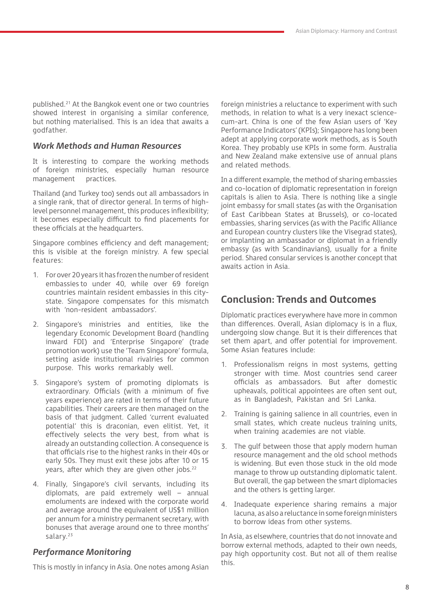published.21 At the Bangkok event one or two countries showed interest in organising a similar conference, but nothing materialised. This is an idea that awaits a godfather.

#### *Work Methods and Human Resources*

It is interesting to compare the working methods of foreign ministries, especially human resource management practices.

Thailand (and Turkey too) sends out all ambassadors in a single rank, that of director general. In terms of highlevel personnel management, this produces inflexibility; it becomes especially difficult to find placements for these officials at the headquarters.

Singapore combines efficiency and deft management; this is visible at the foreign ministry. A few special features:

- 1. For over 20 years it has frozen the number of resident embassies to under 40, while over 69 foreign countries maintain resident embassies in this citystate. Singapore compensates for this mismatch with 'non-resident ambassadors'.
- 2. Singapore's ministries and entities, like the legendary Economic Development Board (handling inward FDI) and 'Enterprise Singapore' (trade promotion work) use the 'Team Singapore' formula, setting aside institutional rivalries for common purpose. This works remarkably well.
- 3. Singapore's system of promoting diplomats is extraordinary. Officials (with a minimum of five years experience) are rated in terms of their future capabilities. Their careers are then managed on the basis of that judgment. Called 'current evaluated potential' this is draconian, even elitist. Yet, it effectively selects the very best, from what is already an outstanding collection. A consequence is that officials rise to the highest ranks in their 40s or early 50s. They must exit these jobs after 10 or 15 years, after which they are given other jobs.<sup>22</sup>
- 4. Finally, Singapore's civil servants, including its diplomats, are paid extremely well – annual emoluments are indexed with the corporate world and average around the equivalent of US\$1 million per annum for a ministry permanent secretary, with bonuses that average around one to three months' salary.<sup>23</sup>

#### *Performance Monitoring*

This is mostly in infancy in Asia. One notes among Asian

foreign ministries a reluctance to experiment with such methods, in relation to what is a very inexact sciencecum-art. China is one of the few Asian users of 'Key Performance Indicators' (KPIs); Singapore has long been adept at applying corporate work methods, as is South Korea. They probably use KPIs in some form. Australia and New Zealand make extensive use of annual plans and related methods.

In a different example, the method of sharing embassies and co-location of diplomatic representation in foreign capitals is alien to Asia. There is nothing like a single joint embassy for small states (as with the Organisation of East Caribbean States at Brussels), or co-located embassies, sharing services (as with the Pacific Alliance and European country clusters like the Visegrad states), or implanting an ambassador or diplomat in a friendly embassy (as with Scandinavians), usually for a finite period. Shared consular services is another concept that awaits action in Asia.

## **Conclusion: Trends and Outcomes**

Diplomatic practices everywhere have more in common than differences. Overall, Asian diplomacy is in a flux, undergoing slow change. But it is their differences that set them apart, and offer potential for improvement. Some Asian features include:

- 1. Professionalism reigns in most systems, getting stronger with time. Most countries send career officials as ambassadors. But after domestic upheavals, political appointees are often sent out, as in Bangladesh, Pakistan and Sri Lanka.
- 2. Training is gaining salience in all countries, even in small states, which create nucleus training units, when training academies are not viable.
- 3. The gulf between those that apply modern human resource management and the old school methods is widening. But even those stuck in the old mode manage to throw up outstanding diplomatic talent. But overall, the gap between the smart diplomacies and the others is getting larger.
- 4. Inadequate experience sharing remains a major lacuna, as also a reluctance in some foreign ministers to borrow ideas from other systems.

In Asia, as elsewhere, countries that do not innovate and borrow external methods, adapted to their own needs, pay high opportunity cost. But not all of them realise this.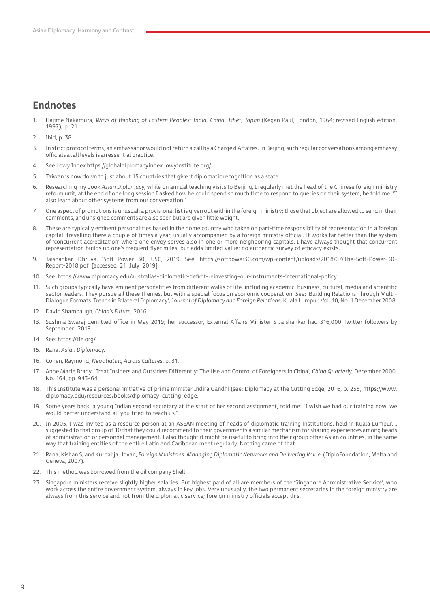## **Endnotes**

- 1. Hajime Nakamura, *Ways of thinking of Eastern Peoples: India, China, Tibet, Japan* (Kegan Paul, London, 1964; revised English edition, 1997), p. 21.
- 2. Ibid, p. 38.
- 3. In strict protocol terms, an ambassador would not return a call by a Chargé d'Affaires. In Beijing, such regular conversations among embassy officials at all levels is an essential practice.
- 4. See Lowy Index https://globaldiplomacyindex.lowyinstitute.org/.
- 5. Taiwan is now down to just about 15 countries that give it diplomatic recognition as a state.
- 6. Researching my book *Asian Diplomacy,* while on annual teaching visits to Beijing, I regularly met the head of the Chinese foreign ministry reform unit; at the end of one long session I asked how he could spend so much time to respond to queries on their system, he told me: "I also learn about other systems from our conversation."
- 7. One aspect of promotions is unusual: a provisional list is given out within the foreign ministry; those that object are allowed to send in their comments, and unsigned comments are also seen but are given little weight.
- 8. These are typically eminent personalities based in the home country who taken on part-time responsibility of representation in a foreign capital, travelling there a couple of times a year, usually accompanied by a foreign ministry official. It works far better than the system of 'concurrent accreditation' where one envoy serves also in one or more neighboring capitals. I have always thought that concurrent representation builds up one's frequent flyer miles, but adds limited value; no authentic survey of efficacy exists.
- 9. Jaishankar, Dhruva, 'Soft Power 30', USC, 2019, See: https://softpower30.com/wp-content/uploads/2018/07/The-Soft-Power-30- Report-2018.pdf [accessed 21 July 2019].
- 10. See: https://www.diplomacy.edu/australias-diplomatic-deficit-reinvesting-our-instruments-international-policy
- 11. Such groups typically have eminent personalities from different walks of life, including academic, business, cultural, media and scientific sector leaders. They pursue all these themes, but with a special focus on economic cooperation. See: 'Building Relations Through Multi-Dialogue Formats: Trends in Bilateral Diplomacy', *Journal of Diplomacy and Foreign Relations,* Kuala Lumpur, Vol. 10, No. 1 December 2008.
- 12. David Shambaugh, *China's Future,* 2016.
- 13. Sushma Swaraj demitted office in May 2019; her successor, External Affairs Minister S Jaishankar had 316,000 Twitter followers by September 2019.
- 14. See: https://tie.org/
- 15. Rana, *Asian Diplomacy.*
- 16. Cohen, Raymond, *Negotiating Across Cultures,* p. 31.
- 17. Anne Marie Brady, 'Treat Insiders and Outsiders Differently: The Use and Control of Foreigners in China', *China Quarterly,* December 2000, No. 164, pp. 943-64.
- 18. This Institute was a personal initiative of prime minister Indira Gandhi (see: Diplomacy at the Cutting Edge, 2016, p. 238, https://www. diplomacy.edu/resources/books/diplomacy-cutting-edge.
- 19. Some years back, a young Indian second secretary at the start of her second assignment, told me: "I wish we had our training now; we would better understand all you tried to teach us."
- 20. In 2005, I was invited as a resource person at an ASEAN meeting of heads of diplomatic training institutions, held in Kuala Lumpur. I suggested to that group of 10 that they could recommend to their governments a similar mechanism for sharing experiences among heads of administration or personnel management. I also thought it might be useful to bring into their group other Asian countries, in the same way that training entities of the entire Latin and Caribbean meet regularly. Nothing came of that.
- 21. Rana, Kishan S, and Kurbalija, Jovan, *Foreign Ministries: Managing Diplomatic Networks and Delivering Value,* (DiploFoundation, Malta and Geneva, 2007).
- 22. This method was borrowed from the oil company Shell.
- 23. Singapore ministers receive slightly higher salaries. But highest paid of all are members of the 'Singapore Administrative Service', who work across the entire government system, always in key jobs. Very unusually, the two permanent secretaries in the foreign ministry are always from this service and not from the diplomatic service; foreign ministry officials accept this.